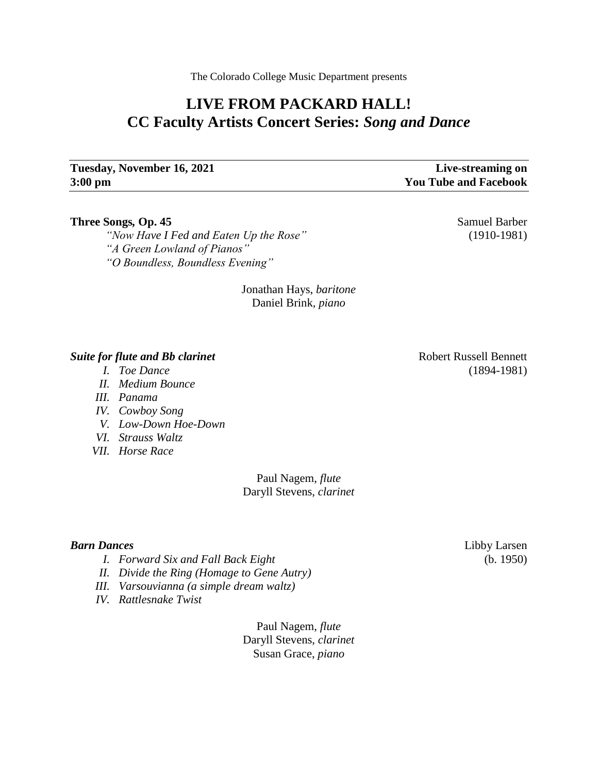The Colorado College Music Department presents

# **LIVE FROM PACKARD HALL! CC Faculty Artists Concert Series:** *Song and Dance*

## **Tuesday, November 16, 2021 Live-streaming on 3:00 pm You Tube and Facebook**

### **Three Songs, Op. 45** Samuel Barber

*"Now Have I Fed and Eaten Up the Rose"* (1910-1981) *"A Green Lowland of Pianos" "O Boundless, Boundless Evening"*

> Jonathan Hays, *baritone* Daniel Brink*, piano*

### **Suite for flute and Bb clarinet Robert Russell Bennett** Robert Russell Bennett

- *I. Toe Dance* (1894-1981)
- *II. Medium Bounce*
- *III. Panama*
- *IV. Cowboy Song*
- *V. Low-Down Hoe-Down*
- *VI. Strauss Waltz*
- *VII. Horse Race*

Paul Nagem, *flute* Daryll Stevens, *clarinet*

- *I. Forward Six and Fall Back Eight* (b. 1950)
- *II. Divide the Ring (Homage to Gene Autry)*
- *III. Varsouvianna (a simple dream waltz)*
- *IV. Rattlesnake Twist*

Paul Nagem, *flute* Daryll Stevens, *clarinet* Susan Grace, *piano*

*Barn Dances* Libby Larsen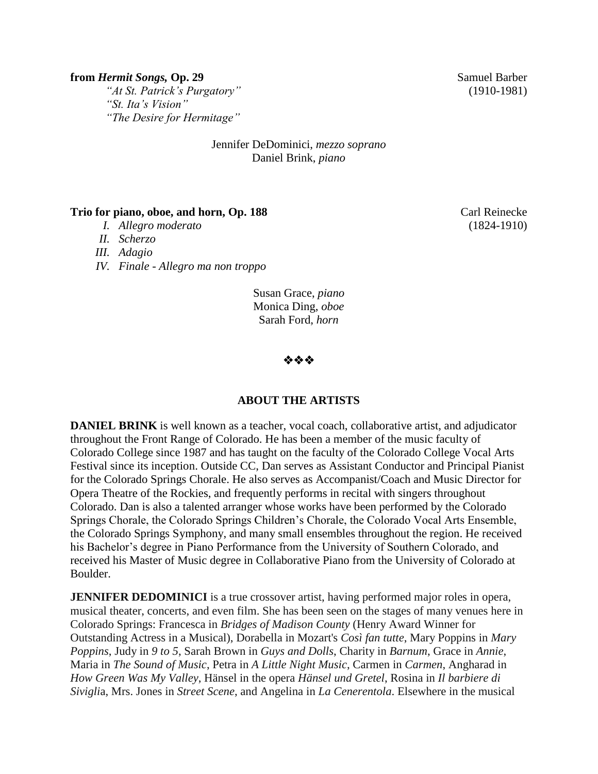### **from** *Hermit Songs***, Op. 29** Samuel Barber

*"At St. Patrick's Purgatory"* (1910-1981) *"St. Ita's Vision" "The Desire for Hermitage"*

### Jennifer DeDominici, *mezzo soprano* Daniel Brink, *piano*

### **Trio for piano, oboe, and horn, Op. 188** Carl Reinecke

- *I. Allegro moderato* (1824-1910)
- *II. Scherzo*
- *III. Adagio*
- *IV. Finale - Allegro ma non troppo*

Susan Grace, *piano* Monica Ding, *oboe* Sarah Ford, *horn*

哈哈哈

### **ABOUT THE ARTISTS**

**DANIEL BRINK** is well known as a teacher, vocal coach, collaborative artist, and adjudicator throughout the Front Range of Colorado. He has been a member of the music faculty of Colorado College since 1987 and has taught on the faculty of the Colorado College Vocal Arts Festival since its inception. Outside CC, Dan serves as Assistant Conductor and Principal Pianist for the Colorado Springs Chorale. He also serves as Accompanist/Coach and Music Director for Opera Theatre of the Rockies, and frequently performs in recital with singers throughout Colorado. Dan is also a talented arranger whose works have been performed by the Colorado Springs Chorale, the Colorado Springs Children's Chorale, the Colorado Vocal Arts Ensemble, the Colorado Springs Symphony, and many small ensembles throughout the region. He received his Bachelor's degree in Piano Performance from the University of Southern Colorado, and received his Master of Music degree in Collaborative Piano from the University of Colorado at Boulder.

**JENNIFER DEDOMINICI** is a true crossover artist, having performed major roles in opera, musical theater, concerts, and even film. She has been seen on the stages of many venues here in Colorado Springs: Francesca in *Bridges of Madison County* (Henry Award Winner for Outstanding Actress in a Musical), Dorabella in Mozart's *Così fan tutte*, Mary Poppins in *Mary Poppins*, Judy in *9 to 5*, Sarah Brown in *Guys and Dolls*, Charity in *Barnum*, Grace in *Annie*, Maria in *The Sound of Music*, Petra in *A Little Night Music*, Carmen in *Carmen*, Angharad in *How Green Was My Valley*, Hänsel in the opera *Hänsel und Gretel*, Rosina in *Il barbiere di Sivigli*a, Mrs. Jones in *Street Scene*, and Angelina in *La Cenerentola*. Elsewhere in the musical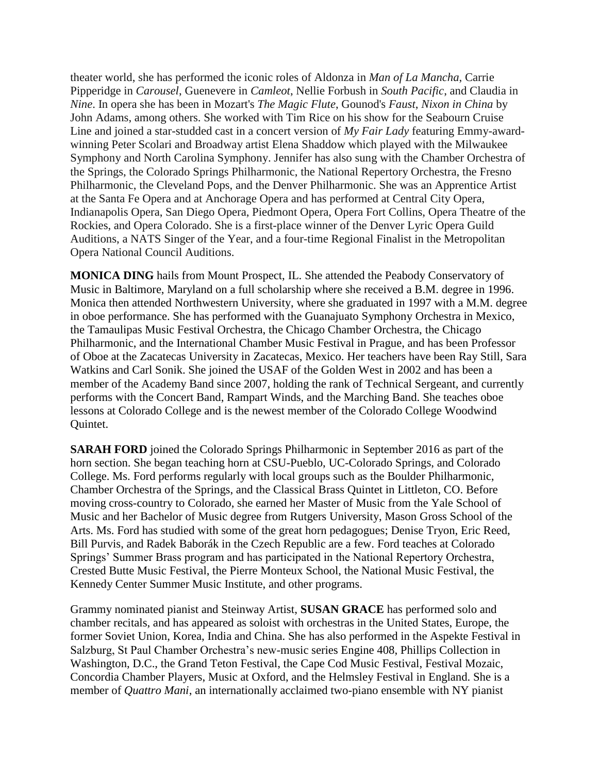theater world, she has performed the iconic roles of Aldonza in *Man of La Mancha*, Carrie Pipperidge in *Carousel*, Guenevere in *Camleot*, Nellie Forbush in *South Pacific*, and Claudia in *Nine*. In opera she has been in Mozart's *The Magic Flute*, Gounod's *Faust*, *Nixon in China* by John Adams, among others. She worked with Tim Rice on his show for the Seabourn Cruise Line and joined a star-studded cast in a concert version of *My Fair Lady* featuring Emmy-awardwinning Peter Scolari and Broadway artist Elena Shaddow which played with the Milwaukee Symphony and North Carolina Symphony. Jennifer has also sung with the Chamber Orchestra of the Springs, the Colorado Springs Philharmonic, the National Repertory Orchestra, the Fresno Philharmonic, the Cleveland Pops, and the Denver Philharmonic. She was an Apprentice Artist at the Santa Fe Opera and at Anchorage Opera and has performed at Central City Opera, Indianapolis Opera, San Diego Opera, Piedmont Opera, Opera Fort Collins, Opera Theatre of the Rockies, and Opera Colorado. She is a first-place winner of the Denver Lyric Opera Guild Auditions, a NATS Singer of the Year, and a four-time Regional Finalist in the Metropolitan Opera National Council Auditions.

**MONICA DING** hails from Mount Prospect, IL. She attended the Peabody Conservatory of Music in Baltimore, Maryland on a full scholarship where she received a B.M. degree in 1996. Monica then attended Northwestern University, where she graduated in 1997 with a M.M. degree in oboe performance. She has performed with the Guanajuato Symphony Orchestra in Mexico, the Tamaulipas Music Festival Orchestra, the Chicago Chamber Orchestra, the Chicago Philharmonic, and the International Chamber Music Festival in Prague, and has been Professor of Oboe at the Zacatecas University in Zacatecas, Mexico. Her teachers have been Ray Still, Sara Watkins and Carl Sonik. She joined the USAF of the Golden West in 2002 and has been a member of the Academy Band since 2007, holding the rank of Technical Sergeant, and currently performs with the Concert Band, Rampart Winds, and the Marching Band. She teaches oboe lessons at Colorado College and is the newest member of the Colorado College Woodwind Quintet.

**SARAH FORD** joined the Colorado Springs Philharmonic in September 2016 as part of the horn section. She began teaching horn at CSU-Pueblo, UC-Colorado Springs, and Colorado College. Ms. Ford performs regularly with local groups such as the Boulder Philharmonic, Chamber Orchestra of the Springs, and the Classical Brass Quintet in Littleton, CO. Before moving cross-country to Colorado, she earned her Master of Music from the Yale School of Music and her Bachelor of Music degree from Rutgers University, Mason Gross School of the Arts. Ms. Ford has studied with some of the great horn pedagogues; Denise Tryon, Eric Reed, Bill Purvis, and Radek Baborák in the Czech Republic are a few. Ford teaches at Colorado Springs' Summer Brass program and has participated in the National Repertory Orchestra, Crested Butte Music Festival, the Pierre Monteux School, the National Music Festival, the Kennedy Center Summer Music Institute, and other programs.

Grammy nominated pianist and Steinway Artist, **SUSAN GRACE** has performed solo and chamber recitals, and has appeared as soloist with orchestras in the United States, Europe, the former Soviet Union, Korea, India and China. She has also performed in the Aspekte Festival in Salzburg, St Paul Chamber Orchestra's new-music series Engine 408, Phillips Collection in Washington, D.C., the Grand Teton Festival, the Cape Cod Music Festival, Festival Mozaic, Concordia Chamber Players, Music at Oxford, and the Helmsley Festival in England. She is a member of *Quattro Mani*, an internationally acclaimed two-piano ensemble with NY pianist